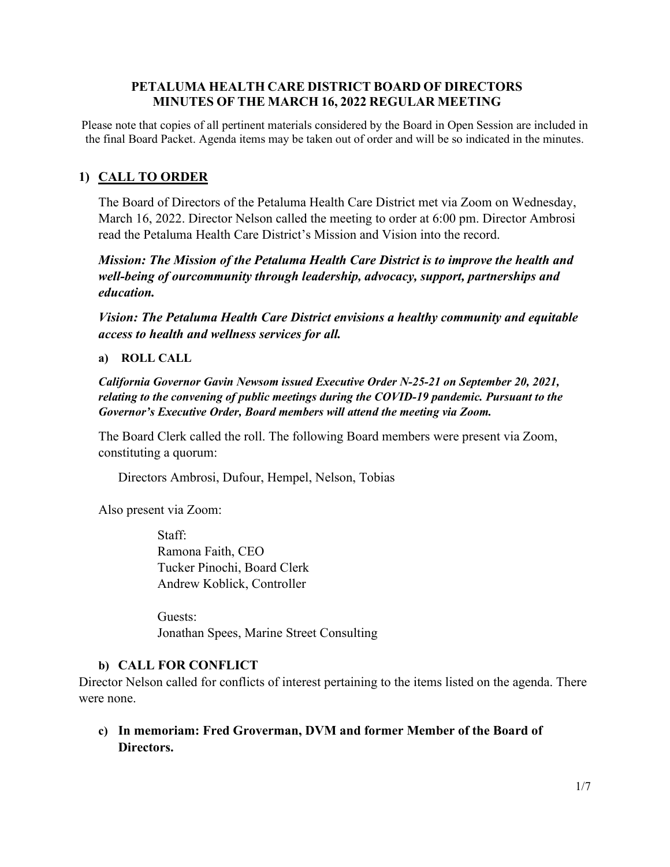### **PETALUMA HEALTH CARE DISTRICT BOARD OF DIRECTORS MINUTES OF THE MARCH 16, 2022 REGULAR MEETING**

Please note that copies of all pertinent materials considered by the Board in Open Session are included in the final Board Packet. Agenda items may be taken out of order and will be so indicated in the minutes.

# **1) CALL TO ORDER**

The Board of Directors of the Petaluma Health Care District met via Zoom on Wednesday, March 16, 2022. Director Nelson called the meeting to order at 6:00 pm. Director Ambrosi read the Petaluma Health Care District's Mission and Vision into the record.

*Mission: The Mission of the Petaluma Health Care District is to improve the health and well-being of ourcommunity through leadership, advocacy, support, partnerships and education.*

*Vision: The Petaluma Health Care District envisions a healthy community and equitable access to health and wellness services for all.*

### **a) ROLL CALL**

*California Governor Gavin Newsom issued Executive Order N-25-21 on September 20, 2021, relating to the convening of public meetings during the COVID-19 pandemic. Pursuant to the Governor's Executive Order, Board members will attend the meeting via Zoom.*

The Board Clerk called the roll. The following Board members were present via Zoom, constituting a quorum:

Directors Ambrosi, Dufour, Hempel, Nelson, Tobias

Also present via Zoom:

Staff: Ramona Faith, CEO Tucker Pinochi, Board Clerk Andrew Koblick, Controller

Guests: Jonathan Spees, Marine Street Consulting

# **b) CALL FOR CONFLICT**

Director Nelson called for conflicts of interest pertaining to the items listed on the agenda. There were none.

**c) In memoriam: Fred Groverman, DVM and former Member of the Board of Directors.**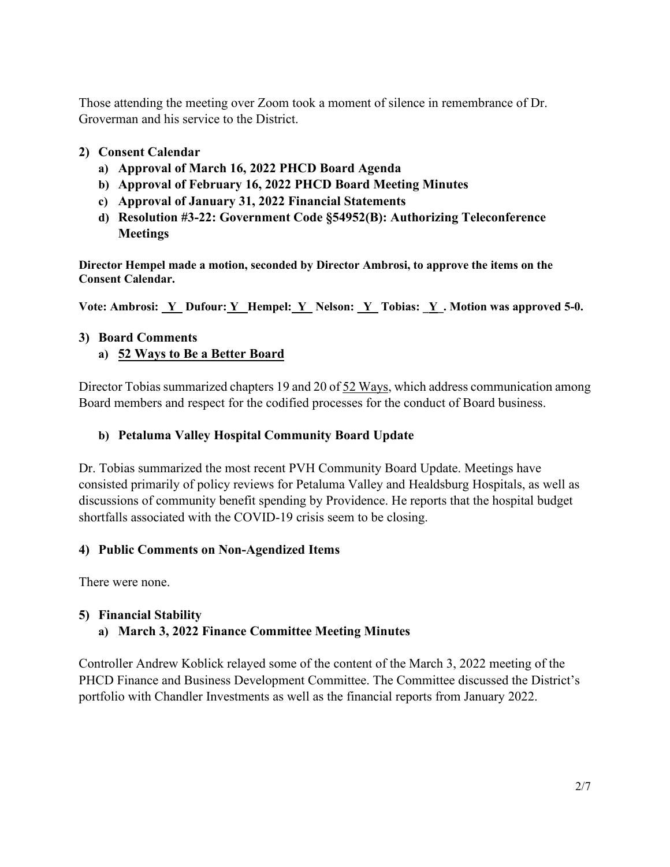Those attending the meeting over Zoom took a moment of silence in remembrance of Dr. Groverman and his service to the District.

# **2) Consent Calendar**

- **a) Approval of March 16, 2022 PHCD Board Agenda**
- **b) Approval of February 16, 2022 PHCD Board Meeting Minutes**
- **c) Approval of January 31, 2022 Financial Statements**
- **d) Resolution #3-22: Government Code §54952(B): Authorizing Teleconference Meetings**

**Director Hempel made a motion, seconded by Director Ambrosi, to approve the items on the Consent Calendar.**

**Vote: Ambrosi: \_Y Dufour: Y\_ Hempel: Y\_ Nelson: \_Y\_ Tobias: \_Y\_. Motion was approved 5-0.** 

# **3) Board Comments**

# **a) 52 Ways to Be a Better Board**

Director Tobias summarized chapters 19 and 20 of 52 Ways, which address communication among Board members and respect for the codified processes for the conduct of Board business.

# **b) Petaluma Valley Hospital Community Board Update**

Dr. Tobias summarized the most recent PVH Community Board Update. Meetings have consisted primarily of policy reviews for Petaluma Valley and Healdsburg Hospitals, as well as discussions of community benefit spending by Providence. He reports that the hospital budget shortfalls associated with the COVID-19 crisis seem to be closing.

# **4) Public Comments on Non-Agendized Items**

There were none.

# **5) Financial Stability**

# **a) March 3, 2022 Finance Committee Meeting Minutes**

Controller Andrew Koblick relayed some of the content of the March 3, 2022 meeting of the PHCD Finance and Business Development Committee. The Committee discussed the District's portfolio with Chandler Investments as well as the financial reports from January 2022.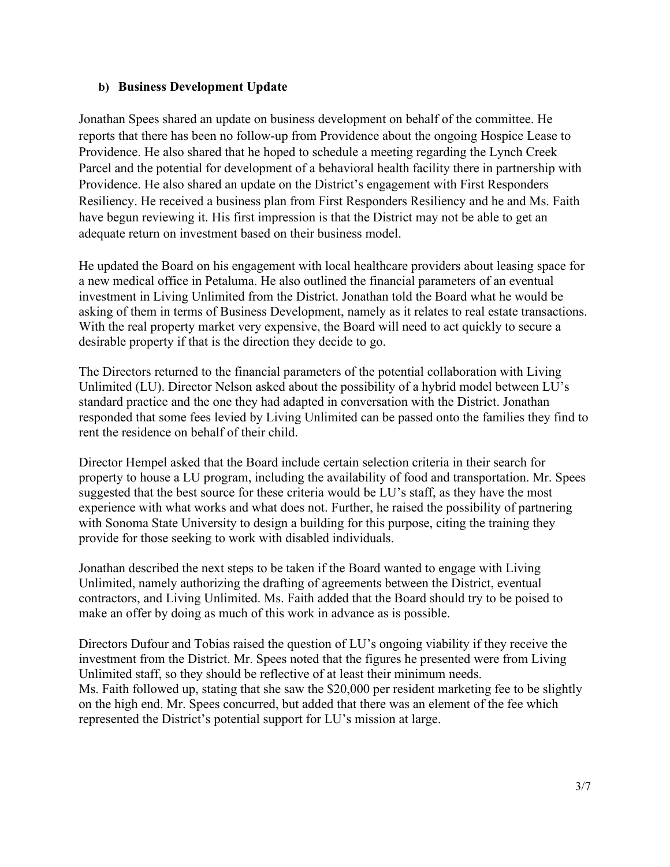### **b) Business Development Update**

Jonathan Spees shared an update on business development on behalf of the committee. He reports that there has been no follow-up from Providence about the ongoing Hospice Lease to Providence. He also shared that he hoped to schedule a meeting regarding the Lynch Creek Parcel and the potential for development of a behavioral health facility there in partnership with Providence. He also shared an update on the District's engagement with First Responders Resiliency. He received a business plan from First Responders Resiliency and he and Ms. Faith have begun reviewing it. His first impression is that the District may not be able to get an adequate return on investment based on their business model.

He updated the Board on his engagement with local healthcare providers about leasing space for a new medical office in Petaluma. He also outlined the financial parameters of an eventual investment in Living Unlimited from the District. Jonathan told the Board what he would be asking of them in terms of Business Development, namely as it relates to real estate transactions. With the real property market very expensive, the Board will need to act quickly to secure a desirable property if that is the direction they decide to go.

The Directors returned to the financial parameters of the potential collaboration with Living Unlimited (LU). Director Nelson asked about the possibility of a hybrid model between LU's standard practice and the one they had adapted in conversation with the District. Jonathan responded that some fees levied by Living Unlimited can be passed onto the families they find to rent the residence on behalf of their child.

Director Hempel asked that the Board include certain selection criteria in their search for property to house a LU program, including the availability of food and transportation. Mr. Spees suggested that the best source for these criteria would be LU's staff, as they have the most experience with what works and what does not. Further, he raised the possibility of partnering with Sonoma State University to design a building for this purpose, citing the training they provide for those seeking to work with disabled individuals.

Jonathan described the next steps to be taken if the Board wanted to engage with Living Unlimited, namely authorizing the drafting of agreements between the District, eventual contractors, and Living Unlimited. Ms. Faith added that the Board should try to be poised to make an offer by doing as much of this work in advance as is possible.

Directors Dufour and Tobias raised the question of LU's ongoing viability if they receive the investment from the District. Mr. Spees noted that the figures he presented were from Living Unlimited staff, so they should be reflective of at least their minimum needs. Ms. Faith followed up, stating that she saw the \$20,000 per resident marketing fee to be slightly on the high end. Mr. Spees concurred, but added that there was an element of the fee which represented the District's potential support for LU's mission at large.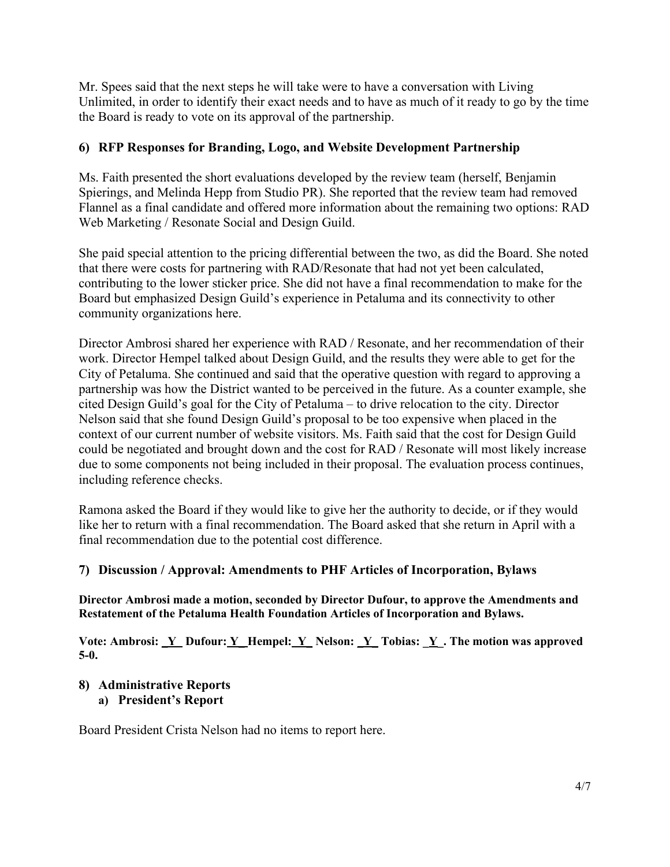Mr. Spees said that the next steps he will take were to have a conversation with Living Unlimited, in order to identify their exact needs and to have as much of it ready to go by the time the Board is ready to vote on its approval of the partnership.

# **6) RFP Responses for Branding, Logo, and Website Development Partnership**

Ms. Faith presented the short evaluations developed by the review team (herself, Benjamin Spierings, and Melinda Hepp from Studio PR). She reported that the review team had removed Flannel as a final candidate and offered more information about the remaining two options: RAD Web Marketing / Resonate Social and Design Guild.

She paid special attention to the pricing differential between the two, as did the Board. She noted that there were costs for partnering with RAD/Resonate that had not yet been calculated, contributing to the lower sticker price. She did not have a final recommendation to make for the Board but emphasized Design Guild's experience in Petaluma and its connectivity to other community organizations here.

Director Ambrosi shared her experience with RAD / Resonate, and her recommendation of their work. Director Hempel talked about Design Guild, and the results they were able to get for the City of Petaluma. She continued and said that the operative question with regard to approving a partnership was how the District wanted to be perceived in the future. As a counter example, she cited Design Guild's goal for the City of Petaluma – to drive relocation to the city. Director Nelson said that she found Design Guild's proposal to be too expensive when placed in the context of our current number of website visitors. Ms. Faith said that the cost for Design Guild could be negotiated and brought down and the cost for RAD / Resonate will most likely increase due to some components not being included in their proposal. The evaluation process continues, including reference checks.

Ramona asked the Board if they would like to give her the authority to decide, or if they would like her to return with a final recommendation. The Board asked that she return in April with a final recommendation due to the potential cost difference.

# **7) Discussion / Approval: Amendments to PHF Articles of Incorporation, Bylaws**

**Director Ambrosi made a motion, seconded by Director Dufour, to approve the Amendments and Restatement of the Petaluma Health Foundation Articles of Incorporation and Bylaws.** 

**Vote: Ambrosi: \_Y Dufour: Y\_ Hempel: Y\_ Nelson: \_Y\_ Tobias: \_Y\_. The motion was approved 5-0.** 

# **8) Administrative Reports**

**a) President's Report**

Board President Crista Nelson had no items to report here.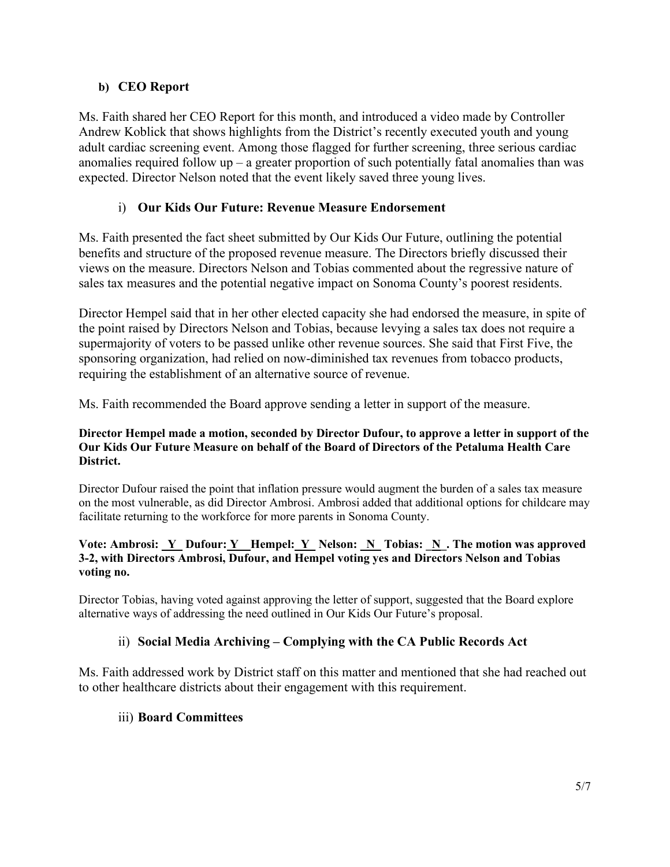# **b) CEO Report**

Ms. Faith shared her CEO Report for this month, and introduced a video made by Controller Andrew Koblick that shows highlights from the District's recently executed youth and young adult cardiac screening event. Among those flagged for further screening, three serious cardiac anomalies required follow  $up - a$  greater proportion of such potentially fatal anomalies than was expected. Director Nelson noted that the event likely saved three young lives.

# i) **Our Kids Our Future: Revenue Measure Endorsement**

Ms. Faith presented the fact sheet submitted by Our Kids Our Future, outlining the potential benefits and structure of the proposed revenue measure. The Directors briefly discussed their views on the measure. Directors Nelson and Tobias commented about the regressive nature of sales tax measures and the potential negative impact on Sonoma County's poorest residents.

Director Hempel said that in her other elected capacity she had endorsed the measure, in spite of the point raised by Directors Nelson and Tobias, because levying a sales tax does not require a supermajority of voters to be passed unlike other revenue sources. She said that First Five, the sponsoring organization, had relied on now-diminished tax revenues from tobacco products, requiring the establishment of an alternative source of revenue.

Ms. Faith recommended the Board approve sending a letter in support of the measure.

#### **Director Hempel made a motion, seconded by Director Dufour, to approve a letter in support of the Our Kids Our Future Measure on behalf of the Board of Directors of the Petaluma Health Care District.**

Director Dufour raised the point that inflation pressure would augment the burden of a sales tax measure on the most vulnerable, as did Director Ambrosi. Ambrosi added that additional options for childcare may facilitate returning to the workforce for more parents in Sonoma County.

#### Vote: Ambrosi: <u>Y\_</u> Dufour: <u>Y\_</u> Hempel: <u>Y\_</u> Nelson: <u>N\_</u> Tobias: <u>N\_</u>. The motion was approved **3-2, with Directors Ambrosi, Dufour, and Hempel voting yes and Directors Nelson and Tobias voting no.**

Director Tobias, having voted against approving the letter of support, suggested that the Board explore alternative ways of addressing the need outlined in Our Kids Our Future's proposal.

# ii) **Social Media Archiving – Complying with the CA Public Records Act**

Ms. Faith addressed work by District staff on this matter and mentioned that she had reached out to other healthcare districts about their engagement with this requirement.

# iii) **Board Committees**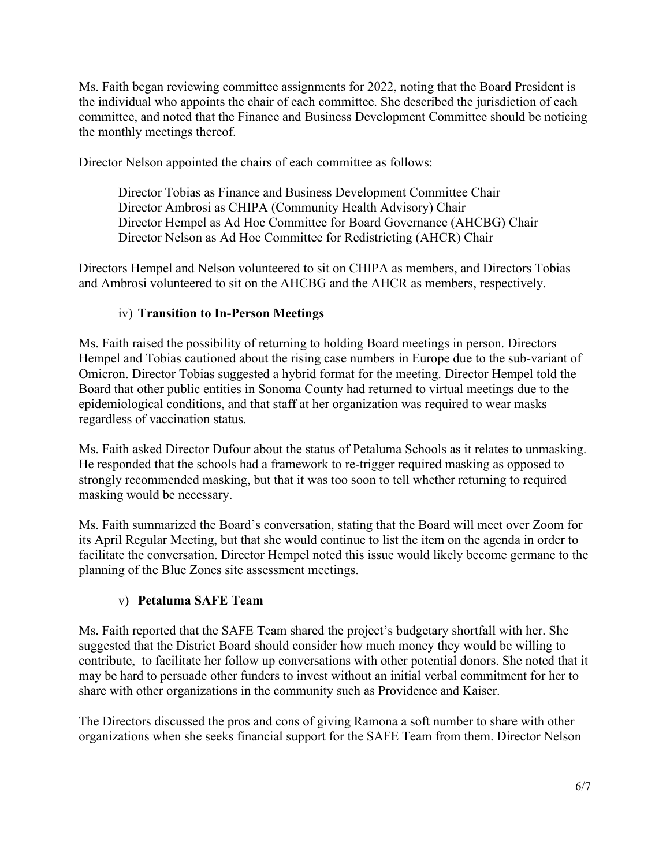Ms. Faith began reviewing committee assignments for 2022, noting that the Board President is the individual who appoints the chair of each committee. She described the jurisdiction of each committee, and noted that the Finance and Business Development Committee should be noticing the monthly meetings thereof.

Director Nelson appointed the chairs of each committee as follows:

Director Tobias as Finance and Business Development Committee Chair Director Ambrosi as CHIPA (Community Health Advisory) Chair Director Hempel as Ad Hoc Committee for Board Governance (AHCBG) Chair Director Nelson as Ad Hoc Committee for Redistricting (AHCR) Chair

Directors Hempel and Nelson volunteered to sit on CHIPA as members, and Directors Tobias and Ambrosi volunteered to sit on the AHCBG and the AHCR as members, respectively.

# iv) **Transition to In-Person Meetings**

Ms. Faith raised the possibility of returning to holding Board meetings in person. Directors Hempel and Tobias cautioned about the rising case numbers in Europe due to the sub-variant of Omicron. Director Tobias suggested a hybrid format for the meeting. Director Hempel told the Board that other public entities in Sonoma County had returned to virtual meetings due to the epidemiological conditions, and that staff at her organization was required to wear masks regardless of vaccination status.

Ms. Faith asked Director Dufour about the status of Petaluma Schools as it relates to unmasking. He responded that the schools had a framework to re-trigger required masking as opposed to strongly recommended masking, but that it was too soon to tell whether returning to required masking would be necessary.

Ms. Faith summarized the Board's conversation, stating that the Board will meet over Zoom for its April Regular Meeting, but that she would continue to list the item on the agenda in order to facilitate the conversation. Director Hempel noted this issue would likely become germane to the planning of the Blue Zones site assessment meetings.

# v) **Petaluma SAFE Team**

Ms. Faith reported that the SAFE Team shared the project's budgetary shortfall with her. She suggested that the District Board should consider how much money they would be willing to contribute, to facilitate her follow up conversations with other potential donors. She noted that it may be hard to persuade other funders to invest without an initial verbal commitment for her to share with other organizations in the community such as Providence and Kaiser.

The Directors discussed the pros and cons of giving Ramona a soft number to share with other organizations when she seeks financial support for the SAFE Team from them. Director Nelson